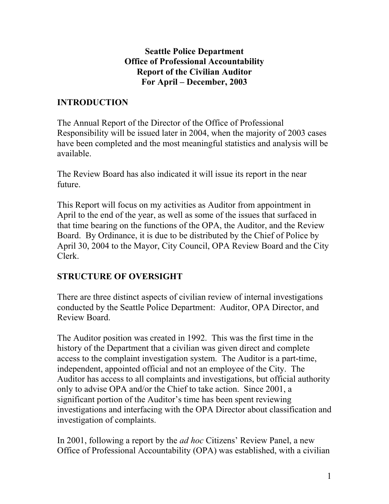### **Seattle Police Department Office of Professional Accountability Report of the Civilian Auditor For April – December, 2003**

# **INTRODUCTION**

The Annual Report of the Director of the Office of Professional Responsibility will be issued later in 2004, when the majority of 2003 cases have been completed and the most meaningful statistics and analysis will be available.

The Review Board has also indicated it will issue its report in the near future.

This Report will focus on my activities as Auditor from appointment in April to the end of the year, as well as some of the issues that surfaced in that time bearing on the functions of the OPA, the Auditor, and the Review Board. By Ordinance, it is due to be distributed by the Chief of Police by April 30, 2004 to the Mayor, City Council, OPA Review Board and the City Clerk.

## **STRUCTURE OF OVERSIGHT**

There are three distinct aspects of civilian review of internal investigations conducted by the Seattle Police Department: Auditor, OPA Director, and Review Board.

The Auditor position was created in 1992. This was the first time in the history of the Department that a civilian was given direct and complete access to the complaint investigation system. The Auditor is a part-time, independent, appointed official and not an employee of the City. The Auditor has access to all complaints and investigations, but official authority only to advise OPA and/or the Chief to take action. Since 2001, a significant portion of the Auditor's time has been spent reviewing investigations and interfacing with the OPA Director about classification and investigation of complaints.

In 2001, following a report by the *ad hoc* Citizens' Review Panel, a new Office of Professional Accountability (OPA) was established, with a civilian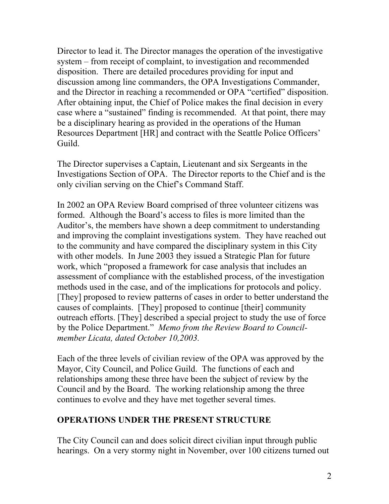Director to lead it. The Director manages the operation of the investigative system – from receipt of complaint, to investigation and recommended disposition. There are detailed procedures providing for input and discussion among line commanders, the OPA Investigations Commander, and the Director in reaching a recommended or OPA "certified" disposition. After obtaining input, the Chief of Police makes the final decision in every case where a "sustained" finding is recommended. At that point, there may be a disciplinary hearing as provided in the operations of the Human Resources Department [HR] and contract with the Seattle Police Officers' Guild.

The Director supervises a Captain, Lieutenant and six Sergeants in the Investigations Section of OPA. The Director reports to the Chief and is the only civilian serving on the Chief's Command Staff.

In 2002 an OPA Review Board comprised of three volunteer citizens was formed. Although the Board's access to files is more limited than the Auditor's, the members have shown a deep commitment to understanding and improving the complaint investigations system. They have reached out to the community and have compared the disciplinary system in this City with other models. In June 2003 they issued a Strategic Plan for future work, which "proposed a framework for case analysis that includes an assessment of compliance with the established process, of the investigation methods used in the case, and of the implications for protocols and policy. [They] proposed to review patterns of cases in order to better understand the causes of complaints. [They] proposed to continue [their] community outreach efforts. [They] described a special project to study the use of force by the Police Department." *Memo from the Review Board to Councilmember Licata, dated October 10,2003.*

Each of the three levels of civilian review of the OPA was approved by the Mayor, City Council, and Police Guild. The functions of each and relationships among these three have been the subject of review by the Council and by the Board. The working relationship among the three continues to evolve and they have met together several times.

## **OPERATIONS UNDER THE PRESENT STRUCTURE**

The City Council can and does solicit direct civilian input through public hearings. On a very stormy night in November, over 100 citizens turned out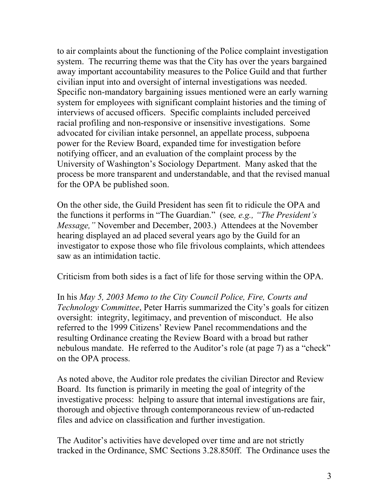to air complaints about the functioning of the Police complaint investigation system. The recurring theme was that the City has over the years bargained away important accountability measures to the Police Guild and that further civilian input into and oversight of internal investigations was needed. Specific non-mandatory bargaining issues mentioned were an early warning system for employees with significant complaint histories and the timing of interviews of accused officers. Specific complaints included perceived racial profiling and non-responsive or insensitive investigations. Some advocated for civilian intake personnel, an appellate process, subpoena power for the Review Board, expanded time for investigation before notifying officer, and an evaluation of the complaint process by the University of Washington's Sociology Department. Many asked that the process be more transparent and understandable, and that the revised manual for the OPA be published soon.

On the other side, the Guild President has seen fit to ridicule the OPA and the functions it performs in "The Guardian." (see*, e.g., "The President's Message,"* November and December, 2003.) Attendees at the November hearing displayed an ad placed several years ago by the Guild for an investigator to expose those who file frivolous complaints, which attendees saw as an intimidation tactic.

Criticism from both sides is a fact of life for those serving within the OPA.

In his *May 5, 2003 Memo to the City Council Police, Fire, Courts and Technology Committee*, Peter Harris summarized the City's goals for citizen oversight: integrity, legitimacy, and prevention of misconduct. He also referred to the 1999 Citizens' Review Panel recommendations and the resulting Ordinance creating the Review Board with a broad but rather nebulous mandate. He referred to the Auditor's role (at page 7) as a "check" on the OPA process.

As noted above, the Auditor role predates the civilian Director and Review Board. Its function is primarily in meeting the goal of integrity of the investigative process: helping to assure that internal investigations are fair, thorough and objective through contemporaneous review of un-redacted files and advice on classification and further investigation.

The Auditor's activities have developed over time and are not strictly tracked in the Ordinance, SMC Sections 3.28.850ff. The Ordinance uses the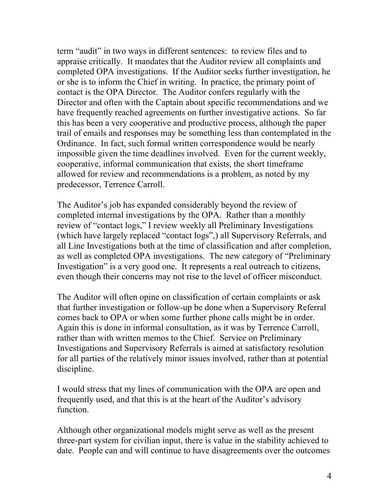term "audit" in two ways in different sentences: to review files and to appraise critically. It mandates that the Auditor review all complaints and completed OPA investigations. If the Auditor seeks further investigation, he or she is to inform the Chief in writing. In practice, the primary point of contact is the OPA Director. The Auditor confers regularly with the Director and often with the Captain about specific recommendations and we have frequently reached agreements on further investigative actions. So far this has been a very cooperative and productive process, although the paper trail of emails and responses may be something less than contemplated in the Ordinance. In fact, such formal written correspondence would be nearly impossible given the time deadlines involved. Even for the current weekly, cooperative, informal communication that exists, the short timeframe allowed for review and recommendations is a problem, as noted by my predecessor, Terrence Carroll.

The Auditor's job has expanded considerably beyond the review of completed internal investigations by the OPA. Rather than a monthly review of "contact logs," I review weekly all Preliminary Investigations (which have largely replaced "contact logs",) all Supervisory Referrals, and all Line Investigations both at the time of classification and after completion, as well as completed OPA investigations. The new category of "Preliminary Investigation" is a very good one. It represents a real outreach to citizens, even though their concerns may not rise to the level of officer misconduct.

The Auditor will often opine on classification of certain complaints or ask that further investigation or follow-up be done when a Supervisory Referral comes back to OPA or when some further phone calls might be in order. Again this is done in informal consultation, as it was by Terrence Carroll, rather than with written memos to the Chief. Service on Preliminary Investigations and Supervisory Referrals is aimed at satisfactory resolution for all parties of the relatively minor issues involved, rather than at potential discipline.

I would stress that my lines of communication with the OPA are open and frequently used, and that this is at the heart of the Auditor's advisory function.

Although other organizational models might serve as well as the present three-part system for civilian input, there is value in the stability achieved to date. People can and will continue to have disagreements over the outcomes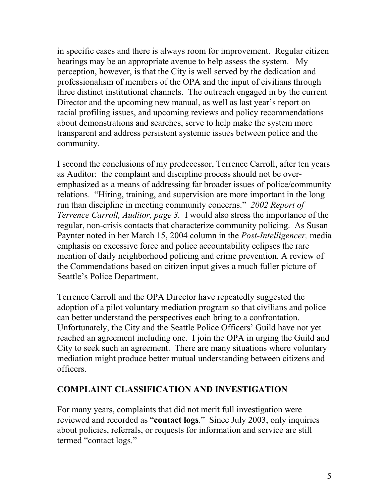in specific cases and there is always room for improvement. Regular citizen hearings may be an appropriate avenue to help assess the system. My perception, however, is that the City is well served by the dedication and professionalism of members of the OPA and the input of civilians through three distinct institutional channels. The outreach engaged in by the current Director and the upcoming new manual, as well as last year's report on racial profiling issues, and upcoming reviews and policy recommendations about demonstrations and searches, serve to help make the system more transparent and address persistent systemic issues between police and the community.

I second the conclusions of my predecessor, Terrence Carroll, after ten years as Auditor: the complaint and discipline process should not be overemphasized as a means of addressing far broader issues of police/community relations. "Hiring, training, and supervision are more important in the long run than discipline in meeting community concerns." *2002 Report of Terrence Carroll, Auditor, page 3.* I would also stress the importance of the regular, non-crisis contacts that characterize community policing. As Susan Paynter noted in her March 15, 2004 column in the *Post-Intelligencer,* media emphasis on excessive force and police accountability eclipses the rare mention of daily neighborhood policing and crime prevention. A review of the Commendations based on citizen input gives a much fuller picture of Seattle's Police Department.

Terrence Carroll and the OPA Director have repeatedly suggested the adoption of a pilot voluntary mediation program so that civilians and police can better understand the perspectives each bring to a confrontation. Unfortunately, the City and the Seattle Police Officers' Guild have not yet reached an agreement including one. I join the OPA in urging the Guild and City to seek such an agreement. There are many situations where voluntary mediation might produce better mutual understanding between citizens and officers.

## **COMPLAINT CLASSIFICATION AND INVESTIGATION**

For many years, complaints that did not merit full investigation were reviewed and recorded as "**contact logs**." Since July 2003, only inquiries about policies, referrals, or requests for information and service are still termed "contact logs."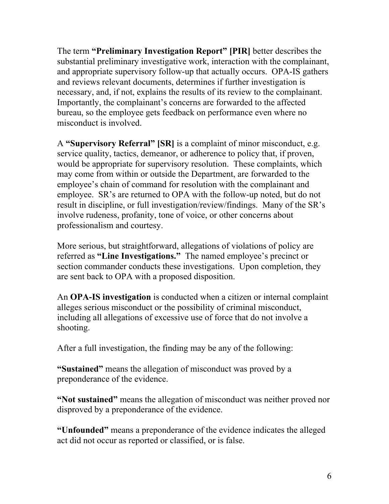The term **"Preliminary Investigation Report" [PIR]** better describes the substantial preliminary investigative work, interaction with the complainant, and appropriate supervisory follow-up that actually occurs. OPA-IS gathers and reviews relevant documents, determines if further investigation is necessary, and, if not, explains the results of its review to the complainant. Importantly, the complainant's concerns are forwarded to the affected bureau, so the employee gets feedback on performance even where no misconduct is involved.

A **"Supervisory Referral" [SR]** is a complaint of minor misconduct, e.g. service quality, tactics, demeanor, or adherence to policy that, if proven, would be appropriate for supervisory resolution. These complaints, which may come from within or outside the Department, are forwarded to the employee's chain of command for resolution with the complainant and employee. SR's are returned to OPA with the follow-up noted, but do not result in discipline, or full investigation/review/findings. Many of the SR's involve rudeness, profanity, tone of voice, or other concerns about professionalism and courtesy.

More serious, but straightforward, allegations of violations of policy are referred as **"Line Investigations."** The named employee's precinct or section commander conducts these investigations. Upon completion, they are sent back to OPA with a proposed disposition.

An **OPA-IS investigation** is conducted when a citizen or internal complaint alleges serious misconduct or the possibility of criminal misconduct, including all allegations of excessive use of force that do not involve a shooting.

After a full investigation, the finding may be any of the following:

**"Sustained"** means the allegation of misconduct was proved by a preponderance of the evidence.

**"Not sustained"** means the allegation of misconduct was neither proved nor disproved by a preponderance of the evidence.

**"Unfounded"** means a preponderance of the evidence indicates the alleged act did not occur as reported or classified, or is false.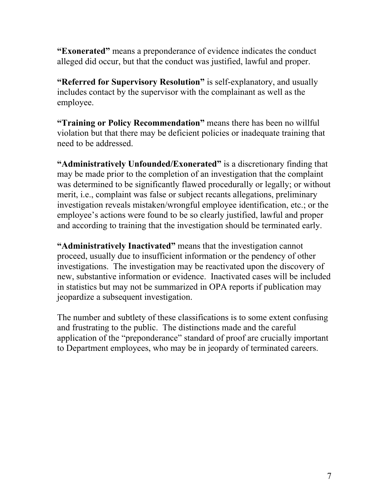**"Exonerated"** means a preponderance of evidence indicates the conduct alleged did occur, but that the conduct was justified, lawful and proper.

**"Referred for Supervisory Resolution"** is self-explanatory, and usually includes contact by the supervisor with the complainant as well as the employee.

**"Training or Policy Recommendation"** means there has been no willful violation but that there may be deficient policies or inadequate training that need to be addressed.

**"Administratively Unfounded/Exonerated"** is a discretionary finding that may be made prior to the completion of an investigation that the complaint was determined to be significantly flawed procedurally or legally; or without merit, i.e., complaint was false or subject recants allegations, preliminary investigation reveals mistaken/wrongful employee identification, etc.; or the employee's actions were found to be so clearly justified, lawful and proper and according to training that the investigation should be terminated early.

**"Administratively Inactivated"** means that the investigation cannot proceed, usually due to insufficient information or the pendency of other investigations. The investigation may be reactivated upon the discovery of new, substantive information or evidence. Inactivated cases will be included in statistics but may not be summarized in OPA reports if publication may jeopardize a subsequent investigation.

The number and subtlety of these classifications is to some extent confusing and frustrating to the public. The distinctions made and the careful application of the "preponderance" standard of proof are crucially important to Department employees, who may be in jeopardy of terminated careers.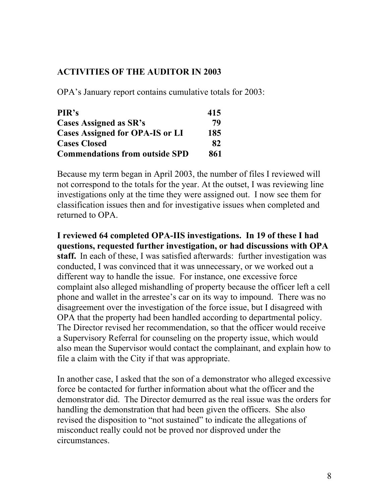### **ACTIVITIES OF THE AUDITOR IN 2003**

OPA's January report contains cumulative totals for 2003:

| PIR's                                  | 415 |
|----------------------------------------|-----|
| <b>Cases Assigned as SR's</b>          | 79  |
| <b>Cases Assigned for OPA-IS or LI</b> | 185 |
| <b>Cases Closed</b>                    | 82  |
| <b>Commendations from outside SPD</b>  | 861 |

Because my term began in April 2003, the number of files I reviewed will not correspond to the totals for the year. At the outset, I was reviewing line investigations only at the time they were assigned out. I now see them for classification issues then and for investigative issues when completed and returned to OPA.

**I reviewed 64 completed OPA-IIS investigations. In 19 of these I had questions, requested further investigation, or had discussions with OPA staff.** In each of these, I was satisfied afterwards: further investigation was conducted, I was convinced that it was unnecessary, or we worked out a different way to handle the issue. For instance, one excessive force complaint also alleged mishandling of property because the officer left a cell phone and wallet in the arrestee's car on its way to impound. There was no disagreement over the investigation of the force issue, but I disagreed with OPA that the property had been handled according to departmental policy. The Director revised her recommendation, so that the officer would receive a Supervisory Referral for counseling on the property issue, which would also mean the Supervisor would contact the complainant, and explain how to file a claim with the City if that was appropriate.

In another case, I asked that the son of a demonstrator who alleged excessive force be contacted for further information about what the officer and the demonstrator did. The Director demurred as the real issue was the orders for handling the demonstration that had been given the officers. She also revised the disposition to "not sustained" to indicate the allegations of misconduct really could not be proved nor disproved under the circumstances.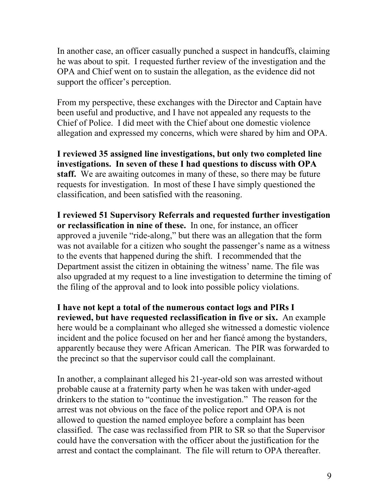In another case, an officer casually punched a suspect in handcuffs, claiming he was about to spit. I requested further review of the investigation and the OPA and Chief went on to sustain the allegation, as the evidence did not support the officer's perception.

From my perspective, these exchanges with the Director and Captain have been useful and productive, and I have not appealed any requests to the Chief of Police. I did meet with the Chief about one domestic violence allegation and expressed my concerns, which were shared by him and OPA.

**I reviewed 35 assigned line investigations, but only two completed line investigations. In seven of these I had questions to discuss with OPA staff.** We are awaiting outcomes in many of these, so there may be future requests for investigation. In most of these I have simply questioned the classification, and been satisfied with the reasoning.

**I reviewed 51 Supervisory Referrals and requested further investigation or reclassification in nine of these.** In one, for instance, an officer approved a juvenile "ride-along," but there was an allegation that the form was not available for a citizen who sought the passenger's name as a witness to the events that happened during the shift. I recommended that the Department assist the citizen in obtaining the witness' name. The file was also upgraded at my request to a line investigation to determine the timing of the filing of the approval and to look into possible policy violations.

**I have not kept a total of the numerous contact logs and PIRs I reviewed, but have requested reclassification in five or six.** An example here would be a complainant who alleged she witnessed a domestic violence incident and the police focused on her and her fiancé among the bystanders, apparently because they were African American. The PIR was forwarded to the precinct so that the supervisor could call the complainant.

In another, a complainant alleged his 21-year-old son was arrested without probable cause at a fraternity party when he was taken with under-aged drinkers to the station to "continue the investigation." The reason for the arrest was not obvious on the face of the police report and OPA is not allowed to question the named employee before a complaint has been classified. The case was reclassified from PIR to SR so that the Supervisor could have the conversation with the officer about the justification for the arrest and contact the complainant. The file will return to OPA thereafter.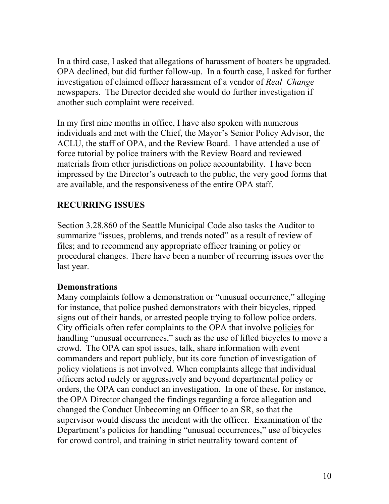In a third case, I asked that allegations of harassment of boaters be upgraded. OPA declined, but did further follow-up. In a fourth case, I asked for further investigation of claimed officer harassment of a vendor of *Real Change* newspapers. The Director decided she would do further investigation if another such complaint were received.

In my first nine months in office, I have also spoken with numerous individuals and met with the Chief, the Mayor's Senior Policy Advisor, the ACLU, the staff of OPA, and the Review Board. I have attended a use of force tutorial by police trainers with the Review Board and reviewed materials from other jurisdictions on police accountability. I have been impressed by the Director's outreach to the public, the very good forms that are available, and the responsiveness of the entire OPA staff.

## **RECURRING ISSUES**

Section 3.28.860 of the Seattle Municipal Code also tasks the Auditor to summarize "issues, problems, and trends noted" as a result of review of files; and to recommend any appropriate officer training or policy or procedural changes. There have been a number of recurring issues over the last year.

#### **Demonstrations**

Many complaints follow a demonstration or "unusual occurrence," alleging for instance, that police pushed demonstrators with their bicycles, ripped signs out of their hands, or arrested people trying to follow police orders. City officials often refer complaints to the OPA that involve policies for handling "unusual occurrences," such as the use of lifted bicycles to move a crowd. The OPA can spot issues, talk, share information with event commanders and report publicly, but its core function of investigation of policy violations is not involved. When complaints allege that individual officers acted rudely or aggressively and beyond departmental policy or orders, the OPA can conduct an investigation. In one of these, for instance, the OPA Director changed the findings regarding a force allegation and changed the Conduct Unbecoming an Officer to an SR, so that the supervisor would discuss the incident with the officer. Examination of the Department's policies for handling "unusual occurrences," use of bicycles for crowd control, and training in strict neutrality toward content of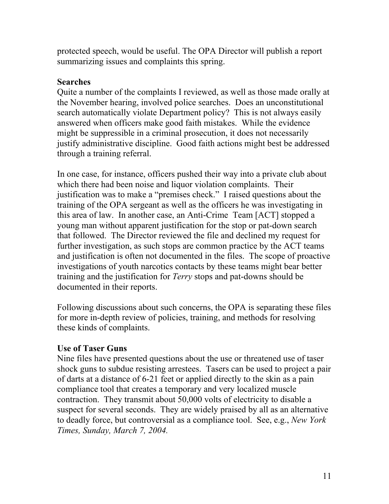protected speech, would be useful. The OPA Director will publish a report summarizing issues and complaints this spring.

### **Searches**

Quite a number of the complaints I reviewed, as well as those made orally at the November hearing, involved police searches. Does an unconstitutional search automatically violate Department policy? This is not always easily answered when officers make good faith mistakes. While the evidence might be suppressible in a criminal prosecution, it does not necessarily justify administrative discipline. Good faith actions might best be addressed through a training referral.

In one case, for instance, officers pushed their way into a private club about which there had been noise and liquor violation complaints. Their justification was to make a "premises check." I raised questions about the training of the OPA sergeant as well as the officers he was investigating in this area of law. In another case, an Anti-Crime Team [ACT] stopped a young man without apparent justification for the stop or pat-down search that followed. The Director reviewed the file and declined my request for further investigation, as such stops are common practice by the ACT teams and justification is often not documented in the files. The scope of proactive investigations of youth narcotics contacts by these teams might bear better training and the justification for *Terry* stops and pat-downs should be documented in their reports.

Following discussions about such concerns, the OPA is separating these files for more in-depth review of policies, training, and methods for resolving these kinds of complaints.

## **Use of Taser Guns**

Nine files have presented questions about the use or threatened use of taser shock guns to subdue resisting arrestees. Tasers can be used to project a pair of darts at a distance of 6-21 feet or applied directly to the skin as a pain compliance tool that creates a temporary and very localized muscle contraction. They transmit about 50,000 volts of electricity to disable a suspect for several seconds. They are widely praised by all as an alternative to deadly force, but controversial as a compliance tool. See, e.g., *New York Times, Sunday, March 7, 2004.*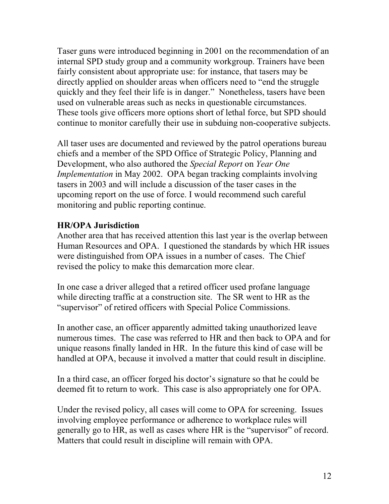Taser guns were introduced beginning in 2001 on the recommendation of an internal SPD study group and a community workgroup. Trainers have been fairly consistent about appropriate use: for instance, that tasers may be directly applied on shoulder areas when officers need to "end the struggle quickly and they feel their life is in danger." Nonetheless, tasers have been used on vulnerable areas such as necks in questionable circumstances. These tools give officers more options short of lethal force, but SPD should continue to monitor carefully their use in subduing non-cooperative subjects.

All taser uses are documented and reviewed by the patrol operations bureau chiefs and a member of the SPD Office of Strategic Policy, Planning and Development, who also authored the *Special Report* on *Year One Implementation* in May 2002. OPA began tracking complaints involving tasers in 2003 and will include a discussion of the taser cases in the upcoming report on the use of force. I would recommend such careful monitoring and public reporting continue.

## **HR/OPA Jurisdiction**

Another area that has received attention this last year is the overlap between Human Resources and OPA. I questioned the standards by which HR issues were distinguished from OPA issues in a number of cases. The Chief revised the policy to make this demarcation more clear.

In one case a driver alleged that a retired officer used profane language while directing traffic at a construction site. The SR went to HR as the "supervisor" of retired officers with Special Police Commissions.

In another case, an officer apparently admitted taking unauthorized leave numerous times. The case was referred to HR and then back to OPA and for unique reasons finally landed in HR. In the future this kind of case will be handled at OPA, because it involved a matter that could result in discipline.

In a third case, an officer forged his doctor's signature so that he could be deemed fit to return to work. This case is also appropriately one for OPA.

Under the revised policy, all cases will come to OPA for screening. Issues involving employee performance or adherence to workplace rules will generally go to HR, as well as cases where HR is the "supervisor" of record. Matters that could result in discipline will remain with OPA.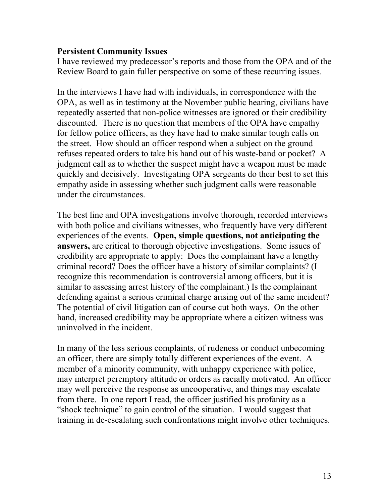#### **Persistent Community Issues**

I have reviewed my predecessor's reports and those from the OPA and of the Review Board to gain fuller perspective on some of these recurring issues.

In the interviews I have had with individuals, in correspondence with the OPA, as well as in testimony at the November public hearing, civilians have repeatedly asserted that non-police witnesses are ignored or their credibility discounted. There is no question that members of the OPA have empathy for fellow police officers, as they have had to make similar tough calls on the street. How should an officer respond when a subject on the ground refuses repeated orders to take his hand out of his waste-band or pocket? A judgment call as to whether the suspect might have a weapon must be made quickly and decisively. Investigating OPA sergeants do their best to set this empathy aside in assessing whether such judgment calls were reasonable under the circumstances.

The best line and OPA investigations involve thorough, recorded interviews with both police and civilians witnesses, who frequently have very different experiences of the events. **Open, simple questions, not anticipating the answers,** are critical to thorough objective investigations. Some issues of credibility are appropriate to apply: Does the complainant have a lengthy criminal record? Does the officer have a history of similar complaints? (I recognize this recommendation is controversial among officers, but it is similar to assessing arrest history of the complainant.) Is the complainant defending against a serious criminal charge arising out of the same incident? The potential of civil litigation can of course cut both ways. On the other hand, increased credibility may be appropriate where a citizen witness was uninvolved in the incident.

In many of the less serious complaints, of rudeness or conduct unbecoming an officer, there are simply totally different experiences of the event. A member of a minority community, with unhappy experience with police, may interpret peremptory attitude or orders as racially motivated. An officer may well perceive the response as uncooperative, and things may escalate from there. In one report I read, the officer justified his profanity as a "shock technique" to gain control of the situation. I would suggest that training in de-escalating such confrontations might involve other techniques.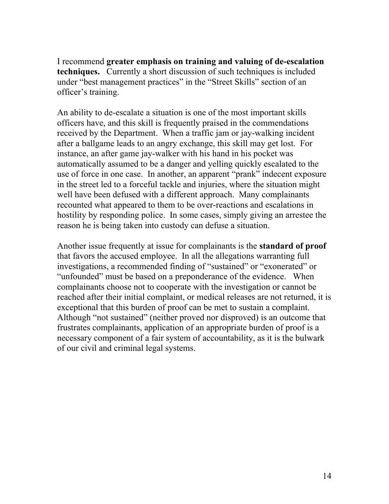I recommend **greater emphasis on training and valuing of de-escalation techniques.** Currently a short discussion of such techniques is included under "best management practices" in the "Street Skills" section of an officer's training.

An ability to de-escalate a situation is one of the most important skills officers have, and this skill is frequently praised in the commendations received by the Department. When a traffic jam or jay-walking incident after a ballgame leads to an angry exchange, this skill may get lost. For instance, an after game jay-walker with his hand in his pocket was automatically assumed to be a danger and yelling quickly escalated to the use of force in one case. In another, an apparent "prank" indecent exposure in the street led to a forceful tackle and injuries, where the situation might well have been defused with a different approach. Many complainants recounted what appeared to them to be over-reactions and escalations in hostility by responding police. In some cases, simply giving an arrestee the reason he is being taken into custody can defuse a situation.

Another issue frequently at issue for complainants is the **standard of proof**  that favors the accused employee. In all the allegations warranting full investigations, a recommended finding of "sustained" or "exonerated" or "unfounded" must be based on a preponderance of the evidence. When complainants choose not to cooperate with the investigation or cannot be reached after their initial complaint, or medical releases are not returned, it is exceptional that this burden of proof can be met to sustain a complaint. Although "not sustained" (neither proved nor disproved) is an outcome that frustrates complainants, application of an appropriate burden of proof is a necessary component of a fair system of accountability, as it is the bulwark of our civil and criminal legal systems.